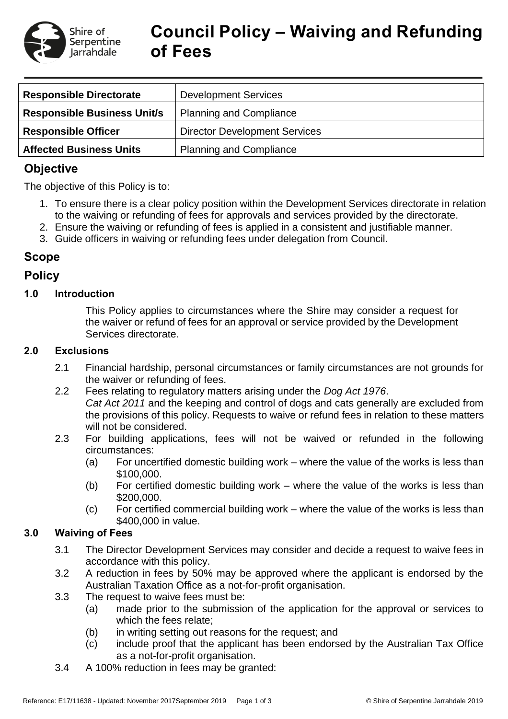

# **Council Policy – Waiving and Refunding of Fees**

| <b>Responsible Directorate</b>     | <b>Development Services</b>          |
|------------------------------------|--------------------------------------|
| <b>Responsible Business Unit/s</b> | <b>Planning and Compliance</b>       |
| <b>Responsible Officer</b>         | <b>Director Development Services</b> |
| <b>Affected Business Units</b>     | <b>Planning and Compliance</b>       |

# **Objective**

The objective of this Policy is to:

- 1. To ensure there is a clear policy position within the Development Services directorate in relation to the waiving or refunding of fees for approvals and services provided by the directorate.
- 2. Ensure the waiving or refunding of fees is applied in a consistent and justifiable manner.
- 3. Guide officers in waiving or refunding fees under delegation from Council.

## **Scope**

## **Policy**

## **1.0 Introduction**

This Policy applies to circumstances where the Shire may consider a request for the waiver or refund of fees for an approval or service provided by the Development Services directorate.

## **2.0 Exclusions**

- 2.1 Financial hardship, personal circumstances or family circumstances are not grounds for the waiver or refunding of fees.
- 2.2 Fees relating to regulatory matters arising under the *Dog Act 1976*. *Cat Act 2011* and the keeping and control of dogs and cats generally are excluded from the provisions of this policy. Requests to waive or refund fees in relation to these matters will not be considered.
- 2.3 For building applications, fees will not be waived or refunded in the following circumstances:
	- (a) For uncertified domestic building work where the value of the works is less than \$100,000.
	- (b) For certified domestic building work where the value of the works is less than \$200,000.
	- (c) For certified commercial building work where the value of the works is less than \$400,000 in value.

## **3.0 Waiving of Fees**

- 3.1 The Director Development Services may consider and decide a request to waive fees in accordance with this policy.
- 3.2 A reduction in fees by 50% may be approved where the applicant is endorsed by the Australian Taxation Office as a not-for-profit organisation.
- 3.3 The request to waive fees must be:
	- (a) made prior to the submission of the application for the approval or services to which the fees relate;
	- (b) in writing setting out reasons for the request; and
	- (c) include proof that the applicant has been endorsed by the Australian Tax Office as a not-for-profit organisation.
- 3.4 A 100% reduction in fees may be granted: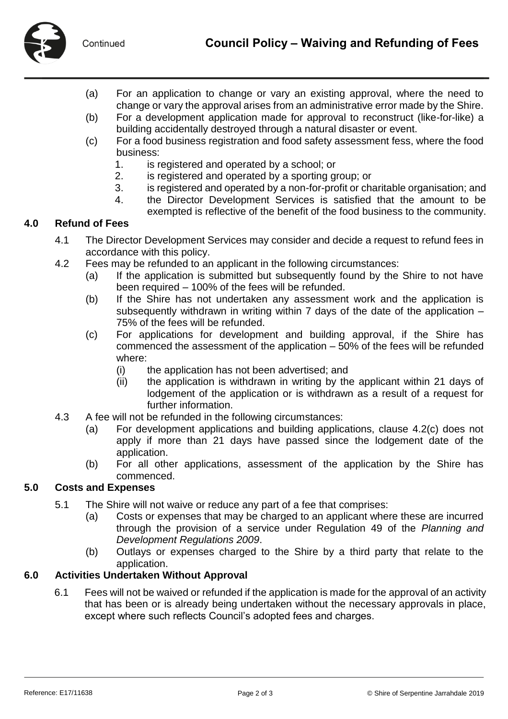- (a) For an application to change or vary an existing approval, where the need to change or vary the approval arises from an administrative error made by the Shire.
- (b) For a development application made for approval to reconstruct (like-for-like) a building accidentally destroyed through a natural disaster or event.
- (c) For a food business registration and food safety assessment fess, where the food business:
	- 1. is registered and operated by a school; or
	- 2. is registered and operated by a sporting group; or
	- 3. is registered and operated by a non-for-profit or charitable organisation; and
	- 4. the Director Development Services is satisfied that the amount to be
		- exempted is reflective of the benefit of the food business to the community.

#### **4.0 Refund of Fees**

- 4.1 The Director Development Services may consider and decide a request to refund fees in accordance with this policy.
- 4.2 Fees may be refunded to an applicant in the following circumstances:
	- (a) If the application is submitted but subsequently found by the Shire to not have been required – 100% of the fees will be refunded.
	- (b) If the Shire has not undertaken any assessment work and the application is subsequently withdrawn in writing within 7 days of the date of the application – 75% of the fees will be refunded.
	- (c) For applications for development and building approval, if the Shire has commenced the assessment of the application – 50% of the fees will be refunded where:
		- (i) the application has not been advertised; and
		- (ii) the application is withdrawn in writing by the applicant within 21 days of lodgement of the application or is withdrawn as a result of a request for further information.
- 4.3 A fee will not be refunded in the following circumstances:
	- (a) For development applications and building applications, clause 4.2(c) does not apply if more than 21 days have passed since the lodgement date of the application.
	- (b) For all other applications, assessment of the application by the Shire has commenced.

#### **5.0 Costs and Expenses**

- 5.1 The Shire will not waive or reduce any part of a fee that comprises:
	- (a) Costs or expenses that may be charged to an applicant where these are incurred through the provision of a service under Regulation 49 of the *Planning and Development Regulations 2009*.
	- (b) Outlays or expenses charged to the Shire by a third party that relate to the application.

#### **6.0 Activities Undertaken Without Approval**

6.1 Fees will not be waived or refunded if the application is made for the approval of an activity that has been or is already being undertaken without the necessary approvals in place, except where such reflects Council's adopted fees and charges.